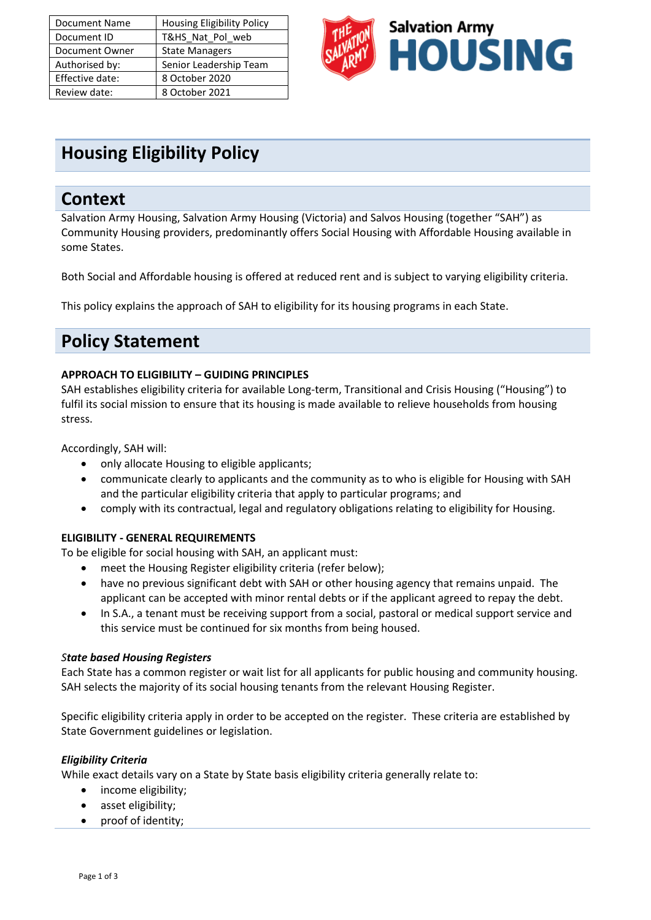| <b>Document Name</b> | <b>Housing Eligibility Policy</b> |
|----------------------|-----------------------------------|
| Document ID          | T&HS_Nat_Pol_web                  |
| Document Owner       | <b>State Managers</b>             |
| Authorised by:       | Senior Leadership Team            |
| Effective date:      | 8 October 2020                    |
| Review date:         | 8 October 2021                    |



# **Housing Eligibility Policy**

### **Context**

Salvation Army Housing, Salvation Army Housing (Victoria) and Salvos Housing (together "SAH") as Community Housing providers, predominantly offers Social Housing with Affordable Housing available in some States.

Both Social and Affordable housing is offered at reduced rent and is subject to varying eligibility criteria.

This policy explains the approach of SAH to eligibility for its housing programs in each State.

## **Policy Statement**

#### **APPROACH TO ELIGIBILITY – GUIDING PRINCIPLES**

SAH establishes eligibility criteria for available Long-term, Transitional and Crisis Housing ("Housing") to fulfil its social mission to ensure that its housing is made available to relieve households from housing stress.

Accordingly, SAH will:

- only allocate Housing to eligible applicants;
- communicate clearly to applicants and the community as to who is eligible for Housing with SAH and the particular eligibility criteria that apply to particular programs; and
- comply with its contractual, legal and regulatory obligations relating to eligibility for Housing.

#### **ELIGIBILITY - GENERAL REQUIREMENTS**

To be eligible for social housing with SAH, an applicant must:

- meet the Housing Register eligibility criteria (refer below);
- have no previous significant debt with SAH or other housing agency that remains unpaid. The applicant can be accepted with minor rental debts or if the applicant agreed to repay the debt.
- In S.A., a tenant must be receiving support from a social, pastoral or medical support service and this service must be continued for six months from being housed.

#### *State based Housing Registers*

Each State has a common register or wait list for all applicants for public housing and community housing. SAH selects the majority of its social housing tenants from the relevant Housing Register.

Specific eligibility criteria apply in order to be accepted on the register. These criteria are established by State Government guidelines or legislation.

#### *Eligibility Criteria*

While exact details vary on a State by State basis eligibility criteria generally relate to:

- income eligibility;
- asset eligibility;
- proof of identity;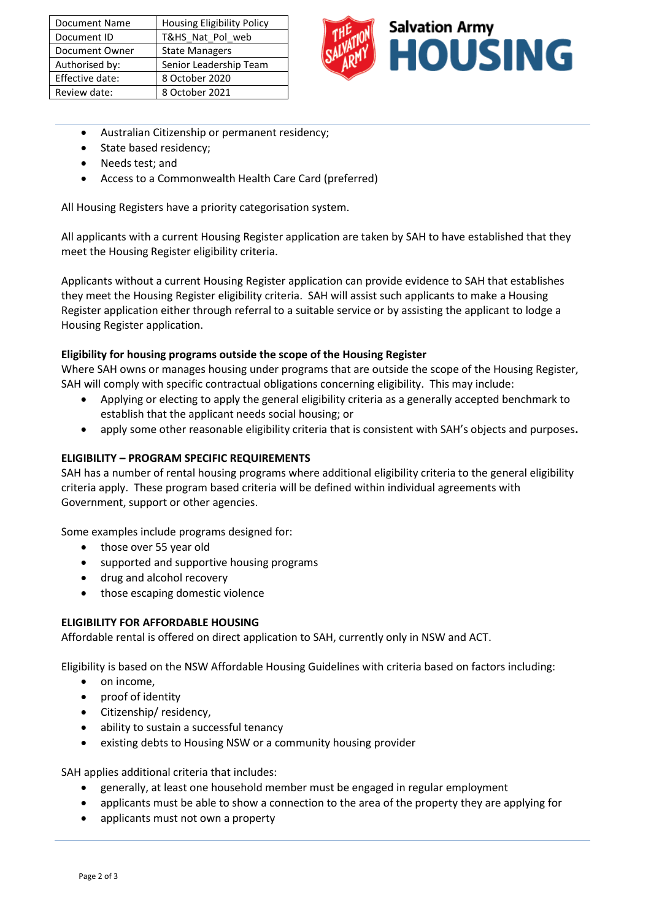| <b>Document Name</b> | <b>Housing Eligibility Policy</b> |
|----------------------|-----------------------------------|
| Document ID          | T&HS Nat Pol web                  |
| Document Owner       | <b>State Managers</b>             |
| Authorised by:       | Senior Leadership Team            |
| Effective date:      | 8 October 2020                    |
| Review date:         | 8 October 2021                    |



- Australian Citizenship or permanent residency;
- State based residency;
- Needs test; and
- Access to a Commonwealth Health Care Card (preferred)

All Housing Registers have a priority categorisation system.

All applicants with a current Housing Register application are taken by SAH to have established that they meet the Housing Register eligibility criteria.

Applicants without a current Housing Register application can provide evidence to SAH that establishes they meet the Housing Register eligibility criteria. SAH will assist such applicants to make a Housing Register application either through referral to a suitable service or by assisting the applicant to lodge a Housing Register application.

#### **Eligibility for housing programs outside the scope of the Housing Register**

Where SAH owns or manages housing under programs that are outside the scope of the Housing Register, SAH will comply with specific contractual obligations concerning eligibility. This may include:

- Applying or electing to apply the general eligibility criteria as a generally accepted benchmark to establish that the applicant needs social housing; or
- apply some other reasonable eligibility criteria that is consistent with SAH's objects and purposes**.**

#### **ELIGIBILITY – PROGRAM SPECIFIC REQUIREMENTS**

SAH has a number of rental housing programs where additional eligibility criteria to the general eligibility criteria apply. These program based criteria will be defined within individual agreements with Government, support or other agencies.

Some examples include programs designed for:

- those over 55 year old
- supported and supportive housing programs
- drug and alcohol recovery
- those escaping domestic violence

#### **ELIGIBILITY FOR AFFORDABLE HOUSING**

Affordable rental is offered on direct application to SAH, currently only in NSW and ACT.

Eligibility is based on the NSW Affordable Housing Guidelines with criteria based on factors including:

- on income,
- proof of identity
- Citizenship/ residency,
- ability to sustain a successful tenancy
- existing debts to Housing NSW or a community housing provider

SAH applies additional criteria that includes:

- generally, at least one household member must be engaged in regular employment
- applicants must be able to show a connection to the area of the property they are applying for
- applicants must not own a property